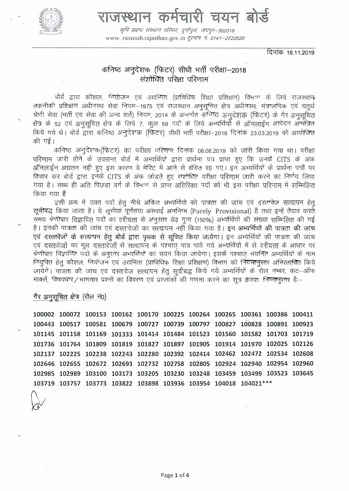

राजस्थान कर्मचारी चयन बोर्ड

कृषि प्रबन्ध संस्थान परिसर, दुर्गापुरा, जयपुर–302018 www.rsmsssb.rajasthan.gov.in *दरभाष न 0141-2722520* 

दिनांक 18.11.2019

# कनिष्ठ अनुदेशक (फिटर) सीधी भर्ती परीक्षा-2018 संशोधित परिक्षा परिणाम

योर्ड द्वारा कौशल, नियोजन एवं उद्यमिता (प्राविधिक शिक्षा प्रशिक्षण) विभाग के लिये राजस्थान तकनीकी प्रशिक्षण अधीनस्थ सेवा नियम-1975 एवं राजस्थान अनुसूचित क्षेत्र अधीनस्थ, मंत्रालयिक एवं चतुर्थ श्रेणी सेवा (भर्ती एवं सेवा की अन्य शर्ते) नियम, 2014 के अन्तर्गत कनिष्ठ अनुदेशक (फिटर) के गैर अनुसचित क्षेत्र के 52 एवं अनुसूचित क्षेत्र के लिये 7, कुल 59 पदों के लिये अभ्यर्थियों से ऑनलाईन आवेदन ऑमंत्रित किये गये थे। बोर्ड द्वारा कनिष्ठ अनुदेशक (फिटर) सीधी भर्ती परीक्षा—2018 दिनांक 23.03.2019 को आयोजित की गई।

कनिष्ठ अनुदेशक(फिटर) का परीक्षा परिणाम दिनांक 08.08.2019 को जारी किया गया था। परीक्षा परिणाम जारी होने के उपरान्त बोर्ड में अभ्यर्थियों द्वारा प्रार्थना पत्र प्राप्त हुए कि उनके CITS के अक ऑनलाईन अद्यतन नही हुए इस कारण वे मेरिट में आने से वंचित रह गए। इन अभ्यर्थियों के प्रार्थना पत्रों पर विचार कर बोर्ड द्वारा इनके CITS के अंक जोड़ते हुए संशोधित परीक्षा परिणाम जारी करने का निर्णय लिया गया है। साथ ही अति पिछड़ा वर्ग के विभाग से प्राप्त अतिरिक्त पदों को भी इस परीक्षा परिणाम में सम्मिलित किया गया हैं

इसी क्रम में उक्त पदों हेतु नीचे अंकित अभ्यर्थियो को पात्रता की जांच एवं दस्तावेज सत्यापन हेतु सूचीबद्ध किया जाता है। ये सूचीयां पूर्णतया अस्थाई अनन्तिम (Purely Provisional) है तथा इन्हें तैयार करते समय श्रेणीवार विज्ञापित पदों का वरीयता के अनुसार डेढ़ गुना (150%) अभ्यर्थियों की संख्या सम्मिलित की गई है। इनकी पात्रता की जांच एवं दस्तावेजों का सत्यापन नहीं किया गया है। इन अभ्यर्थियों की पात्रता की जांच एवं दस्तावेजों के सत्यापन हेतू बोर्ड द्वारा पृथक से सूचित किया जायेगा। इन अभ्यर्थियों की पात्रता की जांच एवं दस्तावेजों का मूल दस्तावेजों से सत्यापन के पश्चात पात्र पाये गये अभ्यर्थियों में से वरीयता के आधार पर श्रेणीवार विज्ञापित पदों के अनुरंगर अभ्यर्थियों का चयन किया जायेगा। इसके पश्चात चयनित अभ्यर्थियों के नाम नियुक्ति हेतु कौशल, नियोजन एवं उद्यमिता (प्राविधिक शिक्षा प्रशिक्षण) विभाग को नियमानुसार अभिरतावित किये जायेगें। पात्रता की जांच एवं दस्तावेज सत्यापन हेतु सुचीबद्ध किये गये अभ्यर्थियों के रोल नम्बर, कट-ऑफ मार्क्स, विषयवार/भागवार प्रश्नों का विवरण एवं प्राप्तांकों की गणना करने का सत्र क्रमशः निम्नानसार है:-

गैर अनुसूचित क्षेत्र (रोल नं0)

100002 100072 100153 100162 100170 100225 100264 100265 100361 100386 100411 100443 100517 100581 100679 100727 100739 100797 100827 100828 100891 100923 101145 101158 101169 101333 101414 101484 101523 101560 101582 101703 101719 101736 101764 101809 101819 101827 101897 101905 101914 101970 102025 102126 102137 102225 102238 102243 102280 102392 102414 102462 102472 102534 102608 102646 102655 102672 102693 102732 102758 102805 102924 102940 102954 102960 102985 102989 103100 103173 103205 103230 103248 103459 103499 103523 103645 103719 103757 103773 103822 103898 103936 103954 104018 104021 \*\*\*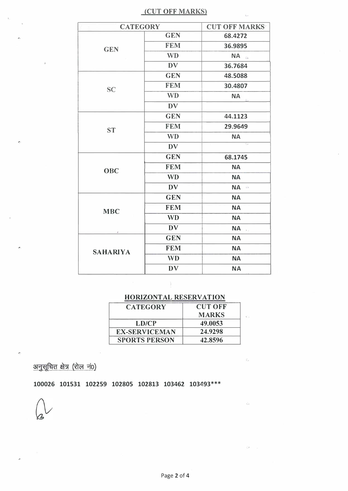## (CUT OFF MARKS)

| <b>CATEGORY</b> |            | <b>CUT OFF MARKS-</b>       |
|-----------------|------------|-----------------------------|
| <b>GEN</b>      | <b>GEN</b> | 68.4272                     |
|                 | <b>FEM</b> | 36.9895                     |
|                 | <b>WD</b>  | NA                          |
|                 | <b>DV</b>  | 36.7684                     |
| <b>SC</b>       | <b>GEN</b> | 48.5088                     |
|                 | <b>FEM</b> | 30.4807                     |
|                 | <b>WD</b>  | <b>NA</b>                   |
|                 | <b>DV</b>  |                             |
|                 | <b>GEN</b> | 44.1123                     |
| <b>ST</b>       | <b>FEM</b> | 29.9649                     |
|                 | <b>WD</b>  | <b>NA</b>                   |
|                 | DV         | $\mathcal{L}_{\mathcal{R}}$ |
| <b>OBC</b>      | <b>GEN</b> | 68.1745                     |
|                 | <b>FEM</b> | <b>NA</b>                   |
|                 | <b>WD</b>  | <b>NA</b>                   |
|                 | <b>DV</b>  | NA <b>A</b>                 |
| <b>MBC</b>      | <b>GEN</b> | <b>NA</b>                   |
|                 | <b>FEM</b> | <b>NA</b>                   |
|                 | <b>WD</b>  | <b>NA</b>                   |
|                 | <b>DV</b>  | NA.                         |
| <b>SAHARIYA</b> | <b>GEN</b> | <b>NA</b>                   |
|                 | <b>FEM</b> | <b>NA</b>                   |
|                 | <b>WD</b>  | <b>NA</b>                   |
|                 | <b>DV</b>  | <b>NA</b>                   |

# HORIZONTAL RESERVATION

| <b>CATEGORY</b>      | <b>CUT OFF</b> |  |
|----------------------|----------------|--|
|                      | <b>MARKS</b>   |  |
| LD/CP                | 49.0053        |  |
| <b>EX-SERVICEMAN</b> | 24.9298        |  |
| <b>SPORTS PERSON</b> | 42.8596        |  |

अनुसूचित क्षेत्र (रोल नं0)

100026 101531 102259 102805 102813 103462 103493\*\*\*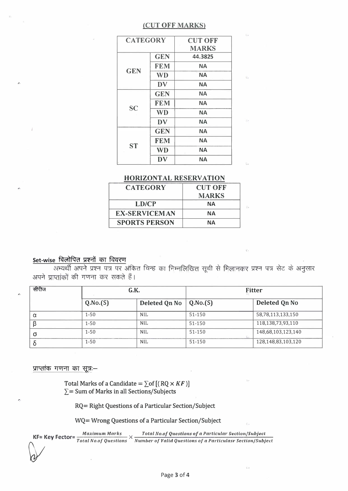### (CUT OFF MARKS)

| <b>CATEGORY</b> |            | <b>CUT OFF</b> |  |
|-----------------|------------|----------------|--|
|                 |            | <b>MARKS</b>   |  |
| <b>GEN</b>      | <b>GEN</b> | 44.3825        |  |
|                 | <b>FEM</b> | <b>NA</b>      |  |
|                 | <b>WD</b>  | ΝA             |  |
|                 | DV         | <b>NA</b>      |  |
| <b>SC</b>       | <b>GEN</b> | <b>NA</b>      |  |
|                 | <b>FEM</b> | ΝA             |  |
|                 | <b>WD</b>  | <b>NA</b>      |  |
|                 | DV         | ΝA             |  |
| <b>ST</b>       | <b>GEN</b> | <b>NA</b>      |  |
|                 | <b>FEM</b> | <b>NA</b>      |  |
|                 | <b>WD</b>  | <b>NA</b>      |  |
|                 | DV         | <b>NA</b>      |  |

### **HORIZONTAL RESERVATION**

| <b>CUT OFF</b> |  |
|----------------|--|
| <b>MARKS</b>   |  |
| NА             |  |
| NА             |  |
| NА             |  |
|                |  |

## Set-wise विलोपित प्रश्नों का विवरण

अभ्यर्थी अपने प्रश्न पत्र पर अंकित चिन्ह का निम्नलिखित सूची से मिलानकर प्रश्न पत्र सेट के अनुसार अपने प्राप्तांकों की गणना कर सकते हैं।

| सीरीज | G.K.     |               | <b>Fitter</b> |                    |
|-------|----------|---------------|---------------|--------------------|
|       | Q.No.(S) | Deleted Qn No | Q.No.(S)      | Deleted Qn No      |
|       | 1-50     | <b>NIL</b>    | 51-150        | 58,78,113,133,150  |
|       | 1-50     | <b>NIL</b>    | 51-150        | 118,138,73,93,110  |
| O     | $1 - 50$ | <b>NIL</b>    | 51-150        | 148,68,103,123,140 |
|       | $1 - 50$ | <b>NIL</b>    | 51-150        | 128,148,83,103,120 |

प्राप्तांक गणना का सूत्र:-

Total Marks of a Candidate =  $\sum$  of  $[(RQ \times KF)]$  $\Sigma$  = Sum of Marks in all Sections/Subjects

RQ= Right Questions of a Particular Section/Subject

WQ= Wrong Questions of a Particular Section/Subject

Maximum Marks Total No.of Questions of a Particular Section/Subject KF= Key Fector=  $\frac{Maximum \text{ mars}}{Total \text{ No. of Questions}} \times \frac{10 \text{ km} \text{ m0.0} \text{ y}}{Number \text{ of 1} \text{ N} \text{ at 1} \text{ m} \text{ to 1} \text{ s}} \times \frac{10 \text{ km} \text{ m0.0} \text{ y}}{Number \text{ of 1} \text{ N} \text{ at 1} \text{ s}} \times \frac{10 \text{ km} \text{ m} \text{ m} \text{ s}}{Number \text{ of 1} \text{ N} \text{ at 1} \text{ s}} \times \frac{10 \text{ km} \text{ m}$